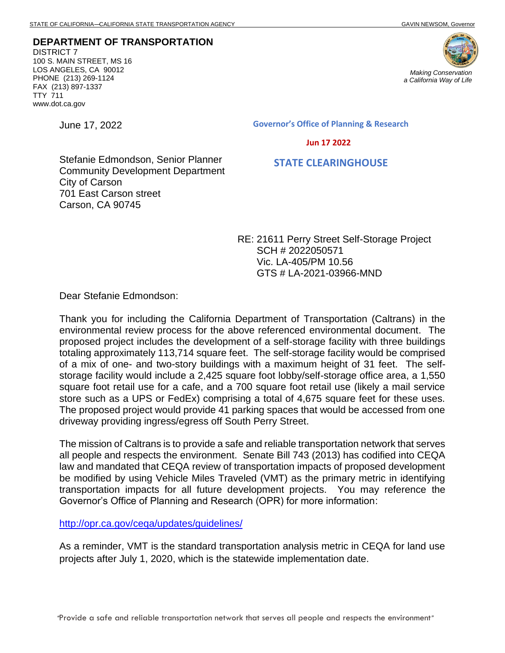**DEPARTMENT OF TRANSPORTATION** DISTRICT 7 100 S. MAIN STREET, MS 16 LOS ANGELES, CA 90012 PHONE (213) 269-1124 FAX (213) 897-1337 TTY 711 www.dot.ca.gov



June 17, 2022

**Governor's Office of Planning & Research**

 **Jun 17 2022**

 **STATE CLEARINGHOUSE**

Stefanie Edmondson, Senior Planner Community Development Department City of Carson 701 East Carson street Carson, CA 90745

> RE: 21611 Perry Street Self-Storage Project SCH # 2022050571 Vic. LA-405/PM 10.56 GTS # LA-2021-03966-MND

Dear Stefanie Edmondson:

Thank you for including the California Department of Transportation (Caltrans) in the environmental review process for the above referenced environmental document. The proposed project includes the development of a self-storage facility with three buildings totaling approximately 113,714 square feet. The self-storage facility would be comprised of a mix of one- and two-story buildings with a maximum height of 31 feet. The selfstorage facility would include a 2,425 square foot lobby/self-storage office area, a 1,550 square foot retail use for a cafe, and a 700 square foot retail use (likely a mail service store such as a UPS or FedEx) comprising a total of 4,675 square feet for these uses. The proposed project would provide 41 parking spaces that would be accessed from one driveway providing ingress/egress off South Perry Street.

The mission of Caltrans is to provide a safe and reliable transportation network that serves all people and respects the environment. Senate Bill 743 (2013) has codified into CEQA law and mandated that CEQA review of transportation impacts of proposed development be modified by using Vehicle Miles Traveled (VMT) as the primary metric in identifying transportation impacts for all future development projects. You may reference the Governor's Office of Planning and Research (OPR) for more information:

<http://opr.ca.gov/ceqa/updates/guidelines/>

As a reminder, VMT is the standard transportation analysis metric in CEQA for land use projects after July 1, 2020, which is the statewide implementation date.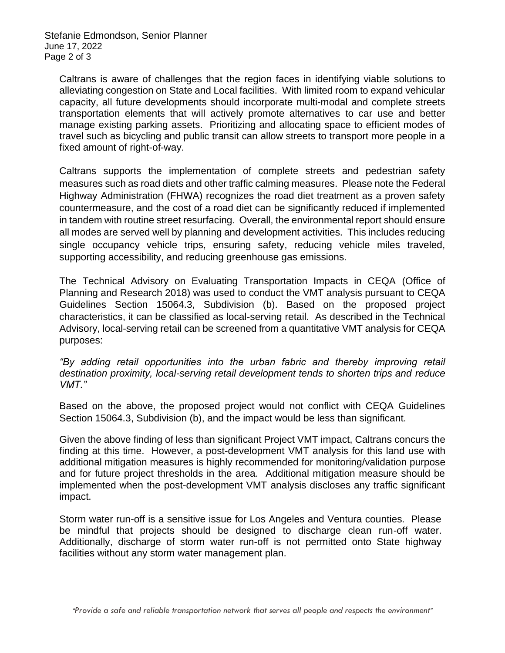Stefanie Edmondson, Senior Planner June 17, 2022 Page 2 of 3

Caltrans is aware of challenges that the region faces in identifying viable solutions to alleviating congestion on State and Local facilities. With limited room to expand vehicular capacity, all future developments should incorporate multi-modal and complete streets transportation elements that will actively promote alternatives to car use and better manage existing parking assets. Prioritizing and allocating space to efficient modes of travel such as bicycling and public transit can allow streets to transport more people in a fixed amount of right-of-way.

Caltrans supports the implementation of complete streets and pedestrian safety measures such as road diets and other traffic calming measures. Please note the Federal Highway Administration (FHWA) recognizes the road diet treatment as a proven safety countermeasure, and the cost of a road diet can be significantly reduced if implemented in tandem with routine street resurfacing. Overall, the environmental report should ensure all modes are served well by planning and development activities. This includes reducing single occupancy vehicle trips, ensuring safety, reducing vehicle miles traveled, supporting accessibility, and reducing greenhouse gas emissions.

The Technical Advisory on Evaluating Transportation Impacts in CEQA (Office of Planning and Research 2018) was used to conduct the VMT analysis pursuant to CEQA Guidelines Section 15064.3, Subdivision (b). Based on the proposed project characteristics, it can be classified as local-serving retail. As described in the Technical Advisory, local-serving retail can be screened from a quantitative VMT analysis for CEQA purposes:

*"By adding retail opportunities into the urban fabric and thereby improving retail destination proximity, local-serving retail development tends to shorten trips and reduce VMT."* 

Based on the above, the proposed project would not conflict with CEQA Guidelines Section 15064.3, Subdivision (b), and the impact would be less than significant.

Given the above finding of less than significant Project VMT impact, Caltrans concurs the finding at this time. However, a post-development VMT analysis for this land use with additional mitigation measures is highly recommended for monitoring/validation purpose and for future project thresholds in the area. Additional mitigation measure should be implemented when the post-development VMT analysis discloses any traffic significant impact.

Storm water run-off is a sensitive issue for Los Angeles and Ventura counties. Please be mindful that projects should be designed to discharge clean run-off water. Additionally, discharge of storm water run-off is not permitted onto State highway facilities without any storm water management plan.